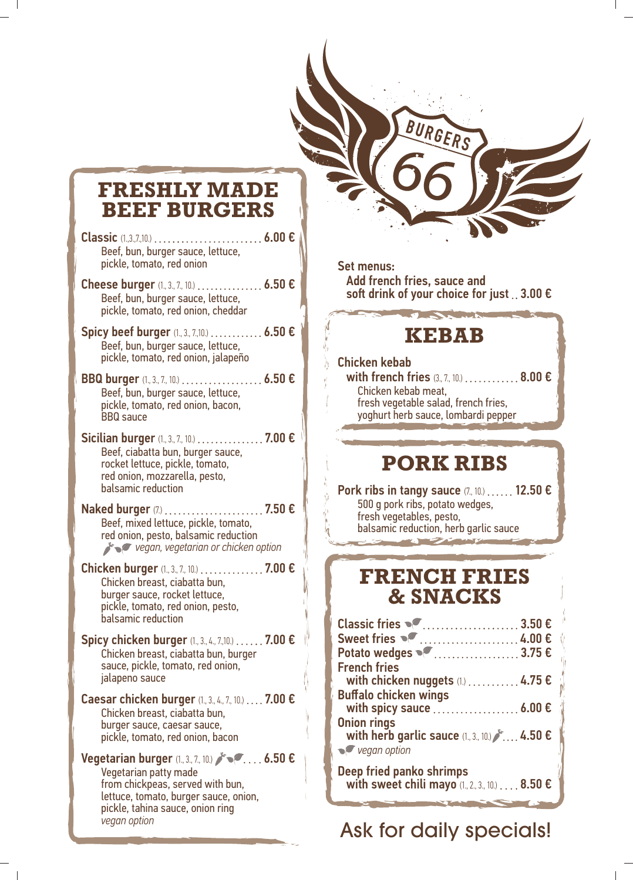## **FRESHLY MADE BEEF BURGERS**

- Classic (1.,3.,7.,10.) 6.00 € Beef, bun, burger sauce, lettuce, pickle, tomato, red onion
- Cheese burger  $(1, 3, 7, 10)$  ................ 6.50  $\epsilon$ Beef, bun, burger sauce, lettuce, pickle, tomato, red onion, cheddar
- Spicy beef burger  $(1, 3, 7, 10)$  ............ 6.50  $\epsilon$ Beef, bun, burger sauce, lettuce, pickle, tomato, red onion, jalapeño
- BBQ burger (1, 3, 7, 10.) . . . . . . . . . . . . . . . . . 6.50 € Beef, bun, burger sauce, lettuce, pickle, tomato, red onion, bacon, BBQ sauce
- Sicilian burger (1, 3, 7, 10.) .................. 7.00 € Beef, ciabatta bun, burger sauce, rocket lettuce, pickle, tomato, red onion, mozzarella, pesto, balsamic reduction

Naked burger (7) .......................... 7.50 € Beef, mixed lettuce, pickle, tomato, red onion, pesto, balsamic reduction *v*egan, vegetarian or chicken option

- Chicken burger (1, 3, 7, 10.) . . . . . . . . . . . . . 7.00 € Chicken breast, ciabatta bun, burger sauce, rocket lettuce, pickle, tomato, red onion, pesto, balsamic reduction
- Spicy chicken burger (1, 3, 4, 7,10.) . . . . . . 7.00 € Chicken breast, ciabatta bun, burger sauce, pickle, tomato, red onion, jalapeno sauce
- Caesar chicken burger (1, 3, 4, 7, 10.) .... 7.00 € Chicken breast, ciabatta bun, burger sauce, caesar sauce, pickle, tomato, red onion, bacon

Vegetarian burger  $(1, 3, 7, 10)$   $\mathscr{N}\subset\ldots$  6.50  $\epsilon$ Vegetarian patty made from chickpeas, served with bun, lettuce, tomato, burger sauce, onion, pickle, tahina sauce, onion ring *vegan option*

#### Set menus:

 Add french fries, sauce and soft drink of your choice for just  $\therefore$  3.00  $\epsilon$ 

### **KEBAB**

#### Chicken kebab

with french fries (3, 7, 10.) . . . . . . . . . . . 8.00 € Chicken kebab meat, fresh vegetable salad, french fries, yoghurt herb sauce, lombardi pepper

#### **PORK RIBS**

Pork ribs in tangy sauce  $(7, 10)$ ,..... 12.50  $\epsilon$ 500 g pork ribs, potato wedges, fresh vegetables, pesto, balsamic reduction, herb garlic sauce

#### **FRENCH FRIES & SNACKS**

| Classic fries $\bullet$ 3.50 $\epsilon$               |  |
|-------------------------------------------------------|--|
|                                                       |  |
| Potato wedges <sup>®</sup> 3.75 €                     |  |
| <b>French fries</b>                                   |  |
| with chicken nuggets $(1)$ 4.75 $\epsilon$            |  |
| <b>Buffalo chicken wings</b>                          |  |
| with spicy sauce $\ldots$ 6.00 $\epsilon$             |  |
| <b>Onion rings</b>                                    |  |
| with herb garlic sauce (1, 3, 10)  4.50 €             |  |
| $\sqrt{\phantom{a}}$ vegan option                     |  |
| Deep fried panko shrimps                              |  |
| with sweet chili mayo $(1, 2, 3, 10)$ 8.50 $\epsilon$ |  |

Ask for daily specials!